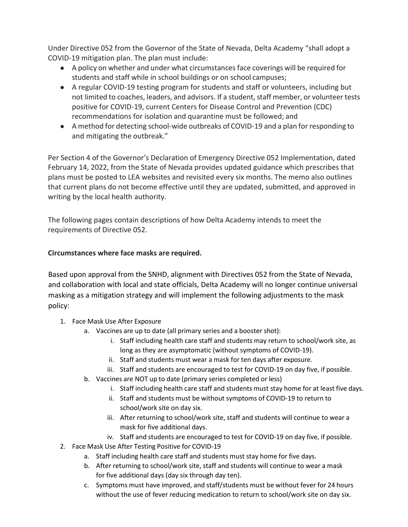Under Directive 052 from the Governor of the State of Nevada, Delta Academy "shall adopt a COVID-19 mitigation plan. The plan must include:

- A policy on whether and under what circumstances face coverings will be required for students and staff while in school buildings or on school campuses;
- A regular COVID-19 testing program for students and staff or volunteers, including but not limited to coaches, leaders, and advisors. If a student, staff member, or volunteer tests positive for COVID-19, current Centers for Disease Control and Prevention (CDC) recommendations for isolation and quarantine must be followed; and
- A method for detecting school-wide outbreaks of COVID-19 and a plan for responding to and mitigating the outbreak."

Per Section 4 of the Governor's Declaration of Emergency Directive 052 Implementation, dated February 14, 2022, from the State of Nevada provides updated guidance which prescribes that plans must be posted to LEA websites and revisited every six months. The memo also outlines that current plans do not become effective until they are updated, submitted, and approved in writing by the local health authority.

The following pages contain descriptions of how Delta Academy intends to meet the requirements of Directive 052.

### **Circumstances where face masks are required.**

Based upon approval from the SNHD, alignment with Directives 052 from the State of Nevada, and collaboration with local and state officials, Delta Academy will no longer continue universal masking as a mitigation strategy and will implement the following adjustments to the mask policy:

- 1. Face Mask Use After Exposure
	- a. Vaccines are up to date (all primary series and a booster shot):
		- i. Staff including health care staff and students may return to school/work site, as long as they are asymptomatic (without symptoms of COVID-19).
		- ii. Staff and students must wear a mask for ten days after exposure.
		- iii. Staff and students are encouraged to test for COVID-19 on day five, if possible.
	- b. Vaccines are NOT up to date (primary series completed or less)
		- i. Staff including health care staff and students must stay home for at least five days.
		- ii. Staff and students must be without symptoms of COVID-19 to return to school/work site on day six.
		- iii. After returning to school/work site, staff and students will continue to wear a mask for five additional days.
		- iv. Staff and students are encouraged to test for COVID-19 on day five, if possible.
- 2. Face Mask Use After Testing Positive for COVID-19
	- a. Staff including health care staff and students must stay home for five days.
	- b. After returning to school/work site, staff and students will continue to wear a mask for five additional days (day six through day ten).
	- c. Symptoms must have improved, and staff/students must be without fever for 24 hours without the use of fever reducing medication to return to school/work site on day six.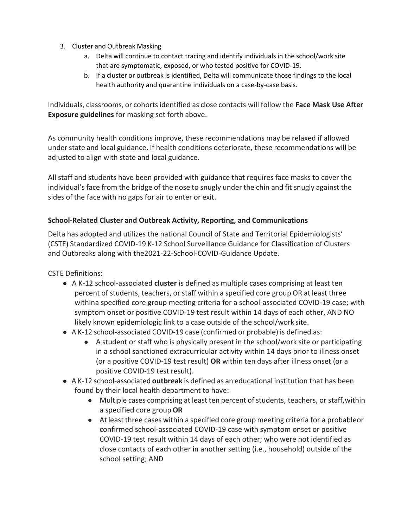- 3. Cluster and Outbreak Masking
	- a. Delta will continue to contact tracing and identify individuals in the school/work site that are symptomatic, exposed, or who tested positive for COVID-19.
	- b. If a cluster or outbreak is identified, Delta will communicate those findings to the local health authority and quarantine individuals on a case-by-case basis.

Individuals, classrooms, or cohortsidentified as close contacts will follow the **Face Mask Use After Exposure guidelines** for masking set forth above.

As community health conditions improve, these recommendations may be relaxed if allowed under state and local guidance. If health conditions deteriorate, these recommendations will be adjusted to align with state and local guidance.

All staff and students have been provided with guidance that requires face masks to cover the individual's face from the bridge of the nose to snugly under the chin and fit snugly against the sides of the face with no gaps for air to enter or exit.

### **School-Related Cluster and Outbreak Activity, Reporting, and Communications**

Delta has adopted and utilizes the national Council of State and Territorial Epidemiologists' (CSTE) Standardized COVID-19 K-12 School Surveillance Guidance for Classification of Clusters and Outbreaks along with the2021-22-School-COVID-Guidance Update.

CSTE Definitions:

- A K-12 school-associated **cluster** is defined as multiple cases comprising at least ten percent of students, teachers, or staff within a specified core group OR at least three withina specified core group meeting criteria for a school-associated COVID-19 case; with symptom onset or positive COVID-19 test result within 14 days of each other, AND NO likely known epidemiologic link to a case outside of the school/work site.
- A K-12 school-associated COVID-19 case (confirmed or probable) is defined as:
	- A student or staff who is physically present in the school/work site or participating in a school sanctioned extracurricular activity within 14 days prior to illness onset (or a positive COVID-19 test result) **OR** within ten days after illness onset (or a positive COVID-19 test result).
- A K-12 school-associated **outbreak** is defined as an educational institution that has been found by their local health department to have:
	- Multiple cases comprising at least ten percent of students, teachers, or staff, within a specified core group**OR**
	- At least three cases within a specified core group meeting criteria for a probableor confirmed school-associated COVID-19 case with symptom onset or positive COVID-19 test result within 14 days of each other; who were not identified as close contacts of each other in another setting (i.e., household) outside of the school setting; AND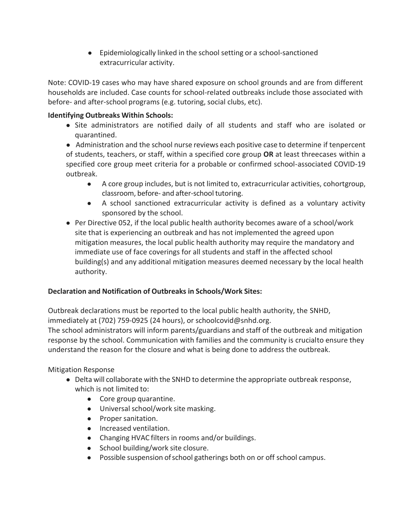● Epidemiologically linked in the school setting or a school-sanctioned extracurricular activity.

Note: COVID-19 cases who may have shared exposure on school grounds and are from different households are included. Case counts for school-related outbreaks include those associated with before- and after-school programs (e.g. tutoring, social clubs, etc).

## **Identifying Outbreaks Within Schools:**

● Site administrators are notified daily of all students and staff who are isolated or quarantined.

● Administration and the school nurse reviews each positive case to determine if tenpercent of students, teachers, or staff, within a specified core group **OR** at least threecases within a specified core group meet criteria for a probable or confirmed school-associated COVID-19 outbreak.

- A core group includes, but is not limited to, extracurricular activities, cohortgroup, classroom, before- and after-school tutoring.
- A school sanctioned extracurricular activity is defined as a voluntary activity sponsored by the school.
- Per Directive 052, if the local public health authority becomes aware of a school/work site that is experiencing an outbreak and has not implemented the agreed upon mitigation measures, the local public health authority may require the mandatory and immediate use of face coverings for all students and staff in the affected school building(s) and any additional mitigation measures deemed necessary by the local health authority.

# **Declaration and Notification of Outbreaks in Schools/Work Sites:**

Outbreak declarations must be reported to the local public health authority, the SNHD, immediately at (702) 759-0925 (24 hours), or schoolcovid@snhd.org.

The school administrators will inform parents/guardians and staff of the outbreak and mitigation response by the school. Communication with families and the community is crucialto ensure they understand the reason for the closure and what is being done to address the outbreak.

# Mitigation Response

- Delta will collaborate with the SNHD to determine the appropriate outbreak response, which is not limited to:
	- Core group quarantine.
	- Universal school/work site masking.
	- Proper sanitation.
	- Increased ventilation.
	- Changing HVAC filters in rooms and/or buildings.
	- School building/work site closure.
	- Possible suspension ofschool gatherings both on or off school campus.